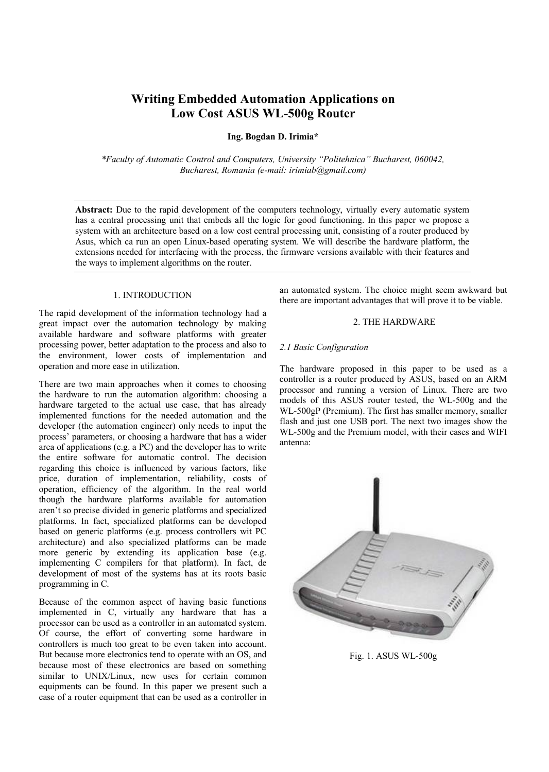# **Writing Embedded Automation Applications on Low Cost ASUS WL-500g Router**

**Ing. Bogdan D. Irimia\***

*\*Faculty of Automatic Control and Computers, University ÄPolitehnicaÅ Bucharest, 060042, Bucharest, Romania (e-mail: irimiab@gmail.com)*

**Abstract:** Due to the rapid development of the computers technology, virtually every automatic system has a central processing unit that embeds all the logic for good functioning. In this paper we propose a system with an architecture based on a low cost central processing unit, consisting of a router produced by Asus, which ca run an open Linux-based operating system. We will describe the hardware platform, the extensions needed for interfacing with the process, the firmware versions available with their features and the ways to implement algorithms on the router.

#### 1. INTRODUCTION

The rapid development of the information technology had a great impact over the automation technology by making available hardware and software platforms with greater processing power, better adaptation to the process and also to the environment, lower costs of implementation and operation and more ease in utilization.

There are two main approaches when it comes to choosing the hardware to run the automation algorithm: choosing a hardware targeted to the actual use case, that has already implemented functions for the needed automation and the developer (the automation engineer) only needs to input the process' parameters, or choosing a hardware that has a wider area of applications (e.g. a PC) and the developer has to write the entire software for automatic control. The decision regarding this choice is influenced by various factors, like price, duration of implementation, reliability, costs of operation, efficiency of the algorithm. In the real world though the hardware platforms available for automation aren't so precise divided in generic platforms and specialized platforms. In fact, specialized platforms can be developed based on generic platforms (e.g. process controllers wit PC architecture) and also specialized platforms can be made more generic by extending its application base (e.g. implementing C compilers for that platform). In fact, de development of most of the systems has at its roots basic programming in C.

Because of the common aspect of having basic functions implemented in C, virtually any hardware that has a processor can be used as a controller in an automated system. Of course, the effort of converting some hardware in controllers is much too great to be even taken into account. But because more electronics tend to operate with an OS, and because most of these electronics are based on something similar to UNIX/Linux, new uses for certain common equipments can be found. In this paper we present such a case of a router equipment that can be used as a controller in an automated system. The choice might seem awkward but there are important advantages that will prove it to be viable.

## 2. THE HARDWARE

## *2.1 Basic Configuration*

The hardware proposed in this paper to be used as a controller is a router produced by ASUS, based on an ARM processor and running a version of Linux. There are two models of this ASUS router tested, the WL-500g and the WL-500gP (Premium). The first has smaller memory, smaller flash and just one USB port. The next two images show the WL-500g and the Premium model, with their cases and WIFI antenna:



Fig. 1. ASUS WL-500g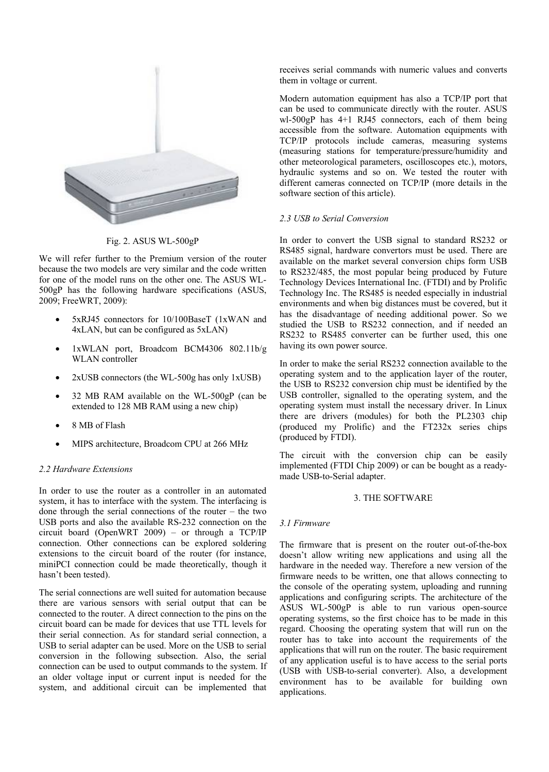

Fig. 2. ASUS WL-500gP

We will refer further to the Premium version of the router because the two models are very similar and the code written for one of the model runs on the other one. The ASUS WL-500gP has the following hardware specifications (ASUS, 2009; FreeWRT, 2009):

- Ç 5xRJ45 connectors for 10/100BaseT (1xWAN and 4xLAN, but can be configured as 5xLAN)
- Ç 1xWLAN port, Broadcom BCM4306 802.11b/g WLAN controller
- $2xUSB$  connectors (the WL-500g has only  $1xUSB$ )
- Ç 32 MB RAM available on the WL-500gP (can be extended to 128 MB RAM using a new chip)
- 8 MB of Flash
- MIPS architecture, Broadcom CPU at 266 MHz

### *2.2 Hardware Extensions*

In order to use the router as a controller in an automated system, it has to interface with the system. The interfacing is done through the serial connections of the router  $-$  the two USB ports and also the available RS-232 connection on the circuit board (OpenWRT 2009) – or through a TCP/IP connection. Other connections can be explored soldering extensions to the circuit board of the router (for instance, miniPCI connection could be made theoretically, though it hasn't been tested).

The serial connections are well suited for automation because there are various sensors with serial output that can be connected to the router. A direct connection to the pins on the circuit board can be made for devices that use TTL levels for their serial connection. As for standard serial connection, a USB to serial adapter can be used. More on the USB to serial conversion in the following subsection. Also, the serial connection can be used to output commands to the system. If an older voltage input or current input is needed for the system, and additional circuit can be implemented that receives serial commands with numeric values and converts them in voltage or current.

Modern automation equipment has also a TCP/IP port that can be used to communicate directly with the router. ASUS wl-500gP has 4+1 RJ45 connectors, each of them being accessible from the software. Automation equipments with TCP/IP protocols include cameras, measuring systems (measuring stations for temperature/pressure/humidity and other meteorological parameters, oscilloscopes etc.), motors, hydraulic systems and so on. We tested the router with different cameras connected on TCP/IP (more details in the software section of this article).

### *2.3 USB to Serial Conversion*

In order to convert the USB signal to standard RS232 or RS485 signal, hardware convertors must be used. There are available on the market several conversion chips form USB to RS232/485, the most popular being produced by Future Technology Devices International Inc. (FTDI) and by Prolific Technology Inc. The RS485 is needed especially in industrial environments and when big distances must be covered, but it has the disadvantage of needing additional power. So we studied the USB to RS232 connection, and if needed an RS232 to RS485 converter can be further used, this one having its own power source.

In order to make the serial RS232 connection available to the operating system and to the application layer of the router, the USB to RS232 conversion chip must be identified by the USB controller, signalled to the operating system, and the operating system must install the necessary driver. In Linux there are drivers (modules) for both the PL2303 chip (produced my Prolific) and the FT232x series chips (produced by FTDI).

The circuit with the conversion chip can be easily implemented (FTDI Chip 2009) or can be bought as a readymade USB-to-Serial adapter.

## 3. THE SOFTWARE

### *3.1 Firmware*

The firmware that is present on the router out-of-the-box doesn't allow writing new applications and using all the hardware in the needed way. Therefore a new version of the firmware needs to be written, one that allows connecting to the console of the operating system, uploading and running applications and configuring scripts. The architecture of the ASUS WL-500gP is able to run various open-source operating systems, so the first choice has to be made in this regard. Choosing the operating system that will run on the router has to take into account the requirements of the applications that will run on the router. The basic requirement of any application useful is to have access to the serial ports (USB with USB-to-serial converter). Also, a development environment has to be available for building own applications.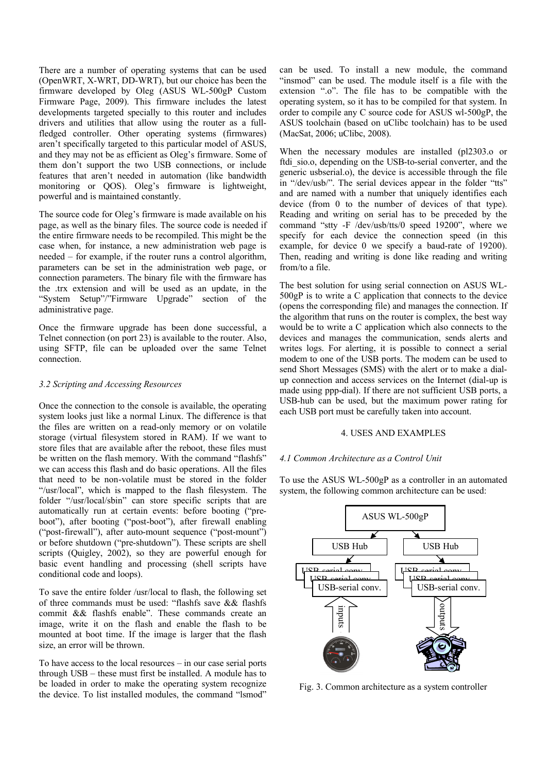There are a number of operating systems that can be used (OpenWRT, X-WRT, DD-WRT), but our choice has been the firmware developed by Oleg (ASUS WL-500gP Custom Firmware Page, 2009). This firmware includes the latest developments targeted specially to this router and includes drivers and utilities that allow using the router as a fullfledged controller. Other operating systems (firmwares) aren't specifically targeted to this particular model of ASUS, and they may not be as efficient as Oleg's firmware. Some of them don't support the two USB connections, or include features that aren't needed in automation (like bandwidth monitoring or QOS). Oleg's firmware is lightweight, powerful and is maintained constantly.

The source code for Oleg's firmware is made available on his page, as well as the binary files. The source code is needed if the entire firmware needs to be recompiled. This might be the case when, for instance, a new administration web page is  $needed - for example, if the router runs a control algorithm,$ parameters can be set in the administration web page, or connection parameters. The binary file with the firmware has the .trx extension and will be used as an update, in the "System Setup"/"Firmware Upgrade" section of the administrative page.

Once the firmware upgrade has been done successful, a Telnet connection (on port 23) is available to the router. Also, using SFTP, file can be uploaded over the same Telnet connection.

#### *3.2 Scripting and Accessing Resources*

Once the connection to the console is available, the operating system looks just like a normal Linux. The difference is that the files are written on a read-only memory or on volatile storage (virtual filesystem stored in RAM). If we want to store files that are available after the reboot, these files must be written on the flash memory. With the command "flashfs" we can access this flash and do basic operations. All the files that need to be non-volatile must be stored in the folder "/usr/local", which is mapped to the flash filesystem. The folder "/usr/local/sbin" can store specific scripts that are automatically run at certain events: before booting ("preboot"), after booting ("post-boot"), after firewall enabling ("post-firewall"), after auto-mount sequence ("post-mount") or before shutdown ("pre-shutdown"). These scripts are shell scripts (Quigley, 2002), so they are powerful enough for basic event handling and processing (shell scripts have conditional code and loops).

To save the entire folder /usr/local to flash, the following set of three commands must be used: "flashfs save && flashfs commit  $&&$  flashfs enable". These commands create an image, write it on the flash and enable the flash to be mounted at boot time. If the image is larger that the flash size, an error will be thrown.

To have access to the local resources  $-$  in our case serial ports through  $\text{USB}$  – these must first be installed. A module has to be loaded in order to make the operating system recognize the device. To list installed modules, the command "Ismod"

can be used. To install a new module, the command "insmod" can be used. The module itself is a file with the extension ".o". The file has to be compatible with the operating system, so it has to be compiled for that system. In order to compile any C source code for ASUS wl-500gP, the ASUS toolchain (based on uClibc toolchain) has to be used (MacSat, 2006; uClibc, 2008).

When the necessary modules are installed (pl2303.o or ftdi sio.o, depending on the USB-to-serial converter, and the generic usbserial.o), the device is accessible through the file in "/dev/usb/". The serial devices appear in the folder "tts" and are named with a number that uniquely identifies each device (from 0 to the number of devices of that type). Reading and writing on serial has to be preceded by the command "stty -F /dev/usb/tts/0 speed 19200", where we specify for each device the connection speed (in this example, for device 0 we specify a baud-rate of 19200). Then, reading and writing is done like reading and writing from/to a file.

The best solution for using serial connection on ASUS WL-500gP is to write a C application that connects to the device (opens the corresponding file) and manages the connection. If the algorithm that runs on the router is complex, the best way would be to write a C application which also connects to the devices and manages the communication, sends alerts and writes logs. For alerting, it is possible to connect a serial modem to one of the USB ports. The modem can be used to send Short Messages (SMS) with the alert or to make a dialup connection and access services on the Internet (dial-up is made using ppp-dial). If there are not sufficient USB ports, a USB-hub can be used, but the maximum power rating for each USB port must be carefully taken into account.

#### 4. USES AND EXAMPLES

#### *4.1 Common Architecture as a Control Unit*

To use the ASUS WL-500gP as a controller in an automated system, the following common architecture can be used:



Fig. 3. Common architecture as a system controller